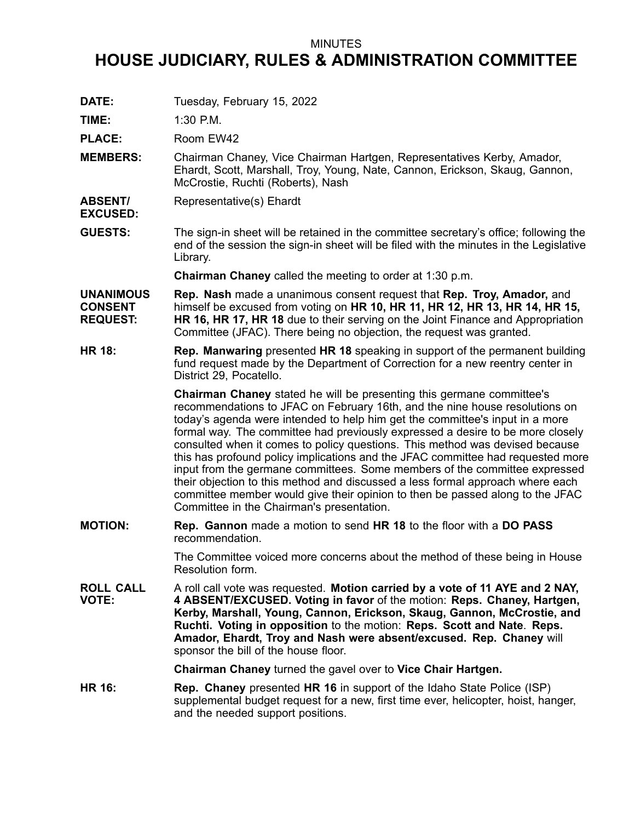## MINUTES

# **HOUSE JUDICIARY, RULES & ADMINISTRATION COMMITTEE**

**DATE:** Tuesday, February 15, 2022

**TIME:** 1:30 P.M.

**EXCUSED:**

PLACE: Room EW42

- **MEMBERS:** Chairman Chaney, Vice Chairman Hartgen, Representatives Kerby, Amador, Ehardt, Scott, Marshall, Troy, Young, Nate, Cannon, Erickson, Skaug, Gannon, McCrostie, Ruchti (Roberts), Nash
- **ABSENT/** Representative(s) Ehardt
- **GUESTS:** The sign-in sheet will be retained in the committee secretary's office; following the end of the session the sign-in sheet will be filed with the minutes in the Legislative Library.

**Chairman Chaney** called the meeting to order at 1:30 p.m.

**UNANIMOUS CONSENT REQUEST: Rep. Nash** made <sup>a</sup> unanimous consent request that **Rep. Troy, Amador,** and himself be excused from voting on **HR 10, HR 11, HR 12, HR 13, HR 14, HR 15, HR 16, HR 17, HR 18** due to their serving on the Joint Finance and Appropriation Committee (JFAC). There being no objection, the request was granted.

**HR 18: Rep. Manwaring** presented **HR 18** speaking in support of the permanent building fund request made by the Department of Correction for <sup>a</sup> new reentry center in District 29, Pocatello.

> **Chairman Chaney** stated he will be presenting this germane committee's recommendations to JFAC on February 16th, and the nine house resolutions on today's agenda were intended to help him get the committee's input in <sup>a</sup> more formal way. The committee had previously expressed <sup>a</sup> desire to be more closely consulted when it comes to policy questions. This method was devised because this has profound policy implications and the JFAC committee had requested more input from the germane committees. Some members of the committee expressed their objection to this method and discussed <sup>a</sup> less formal approach where each committee member would give their opinion to then be passed along to the JFAC Committee in the Chairman's presentation.

**MOTION: Rep. Gannon** made <sup>a</sup> motion to send **HR 18** to the floor with <sup>a</sup> **DO PASS** recommendation.

> The Committee voiced more concerns about the method of these being in House Resolution form.

**ROLL CALL VOTE:** A roll call vote was requested. **Motion carried by <sup>a</sup> vote of 11 AYE and 2 NAY, 4 ABSENT/EXCUSED. Voting in favor** of the motion: **Reps. Chaney, Hartgen, Kerby, Marshall, Young, Cannon, Erickson, Skaug, Gannon, McCrostie, and Ruchti. Voting in opposition** to the motion: **Reps. Scott and Nate**. **Reps. Amador, Ehardt, Troy and Nash were absent/excused. Rep. Chaney** will sponsor the bill of the house floor.

**Chairman Chaney** turned the gavel over to **Vice Chair Hartgen.**

**HR 16: Rep. Chaney** presented **HR 16** in support of the Idaho State Police (ISP) supplemental budget request for <sup>a</sup> new, first time ever, helicopter, hoist, hanger, and the needed support positions.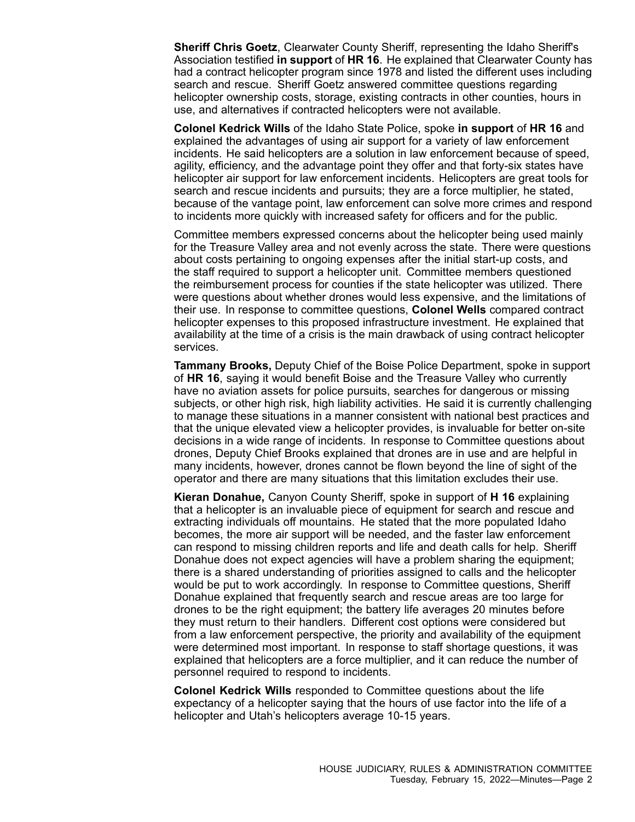**Sheriff Chris Goetz**, Clearwater County Sheriff, representing the Idaho Sheriff's Association testified **in support** of **HR 16**. He explained that Clearwater County has had <sup>a</sup> contract helicopter program since 1978 and listed the different uses including search and rescue. Sheriff Goetz answered committee questions regarding helicopter ownership costs, storage, existing contracts in other counties, hours in use, and alternatives if contracted helicopters were not available.

**Colonel Kedrick Wills** of the Idaho State Police, spoke **in support** of **HR 16** and explained the advantages of using air support for <sup>a</sup> variety of law enforcement incidents. He said helicopters are <sup>a</sup> solution in law enforcement because of speed, agility, efficiency, and the advantage point they offer and that forty-six states have helicopter air support for law enforcement incidents. Helicopters are great tools for search and rescue incidents and pursuits; they are <sup>a</sup> force multiplier, he stated, because of the vantage point, law enforcement can solve more crimes and respond to incidents more quickly with increased safety for officers and for the public.

Committee members expressed concerns about the helicopter being used mainly for the Treasure Valley area and not evenly across the state. There were questions about costs pertaining to ongoing expenses after the initial start-up costs, and the staff required to support <sup>a</sup> helicopter unit. Committee members questioned the reimbursement process for counties if the state helicopter was utilized. There were questions about whether drones would less expensive, and the limitations of their use. In response to committee questions, **Colonel Wells** compared contract helicopter expenses to this proposed infrastructure investment. He explained that availability at the time of <sup>a</sup> crisis is the main drawback of using contract helicopter services.

**Tammany Brooks,** Deputy Chief of the Boise Police Department, spoke in support of **HR 16**, saying it would benefit Boise and the Treasure Valley who currently have no aviation assets for police pursuits, searches for dangerous or missing subjects, or other high risk, high liability activities. He said it is currently challenging to manage these situations in <sup>a</sup> manner consistent with national best practices and that the unique elevated view <sup>a</sup> helicopter provides, is invaluable for better on-site decisions in <sup>a</sup> wide range of incidents. In response to Committee questions about drones, Deputy Chief Brooks explained that drones are in use and are helpful in many incidents, however, drones cannot be flown beyond the line of sight of the operator and there are many situations that this limitation excludes their use.

**Kieran Donahue,** Canyon County Sheriff, spoke in support of **H 16** explaining that <sup>a</sup> helicopter is an invaluable piece of equipment for search and rescue and extracting individuals off mountains. He stated that the more populated Idaho becomes, the more air support will be needed, and the faster law enforcement can respond to missing children reports and life and death calls for help. Sheriff Donahue does not expect agencies will have <sup>a</sup> problem sharing the equipment; there is <sup>a</sup> shared understanding of priorities assigned to calls and the helicopter would be put to work accordingly. In response to Committee questions, Sheriff Donahue explained that frequently search and rescue areas are too large for drones to be the right equipment; the battery life averages 20 minutes before they must return to their handlers. Different cost options were considered but from <sup>a</sup> law enforcement perspective, the priority and availability of the equipment were determined most important. In response to staff shortage questions, it was explained that helicopters are <sup>a</sup> force multiplier, and it can reduce the number of personnel required to respond to incidents.

**Colonel Kedrick Wills** responded to Committee questions about the life expectancy of <sup>a</sup> helicopter saying that the hours of use factor into the life of <sup>a</sup> helicopter and Utah's helicopters average 10-15 years.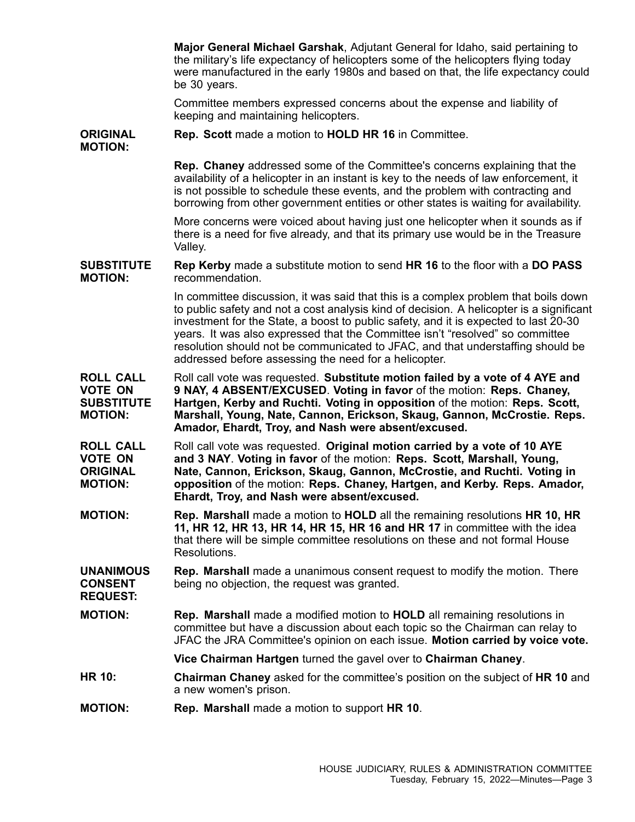**Major General Michael Garshak**, Adjutant General for Idaho, said pertaining to the military's life expectancy of helicopters some of the helicopters flying today were manufactured in the early 1980s and based on that, the life expectancy could be 30 years.

Committee members expressed concerns about the expense and liability of keeping and maintaining helicopters.

### **ORIGINAL MOTION: Rep. Scott** made <sup>a</sup> motion to **HOLD HR 16** in Committee.

**Rep. Chaney** addressed some of the Committee's concerns explaining that the availability of <sup>a</sup> helicopter in an instant is key to the needs of law enforcement, it is not possible to schedule these events, and the problem with contracting and borrowing from other government entities or other states is waiting for availability.

More concerns were voiced about having just one helicopter when it sounds as if there is <sup>a</sup> need for five already, and that its primary use would be in the Treasure Valley.

#### **SUBSTITUTE MOTION: Rep Kerby** made <sup>a</sup> substitute motion to send **HR 16** to the floor with <sup>a</sup> **DO PASS** recommendation.

In committee discussion, it was said that this is <sup>a</sup> complex problem that boils down to public safety and not <sup>a</sup> cost analysis kind of decision. A helicopter is <sup>a</sup> significant investment for the State, <sup>a</sup> boost to public safety, and it is expected to last 20-30 years. It was also expressed that the Committee isn't "resolved" so committee resolution should not be communicated to JFAC, and that understaffing should be addressed before assessing the need for <sup>a</sup> helicopter.

**ROLL CALL VOTE ON SUBSTITUTE MOTION:** Roll call vote was requested. **Substitute motion failed by <sup>a</sup> vote of 4 AYE and 9 NAY, 4 ABSENT/EXCUSED**. **Voting in favor** of the motion: **Reps. Chaney, Hartgen, Kerby and Ruchti. Voting in opposition** of the motion: **Reps. Scott, Marshall, Young, Nate, Cannon, Erickson, Skaug, Gannon, McCrostie. Reps. Amador, Ehardt, Troy, and Nash were absent/excused.**

**ROLL CALL VOTE ON ORIGINAL MOTION:** Roll call vote was requested. **Original motion carried by <sup>a</sup> vote of 10 AYE and 3 NAY**. **Voting in favor** of the motion: **Reps. Scott, Marshall, Young, Nate, Cannon, Erickson, Skaug, Gannon, McCrostie, and Ruchti. Voting in opposition** of the motion: **Reps. Chaney, Hartgen, and Kerby. Reps. Amador, Ehardt, Troy, and Nash were absent/excused.**

**MOTION: Rep. Marshall** made <sup>a</sup> motion to **HOLD** all the remaining resolutions **HR 10, HR 11, HR 12, HR 13, HR 14, HR 15, HR 16 and HR 17** in committee with the idea that there will be simple committee resolutions on these and not formal House Resolutions.

#### **UNANIMOUS CONSENT REQUEST: Rep. Marshall** made <sup>a</sup> unanimous consent request to modify the motion. There being no objection, the request was granted.

**MOTION: Rep. Marshall** made <sup>a</sup> modified motion to **HOLD** all remaining resolutions in committee but have <sup>a</sup> discussion about each topic so the Chairman can relay to JFAC the JRA Committee's opinion on each issue. **Motion carried by voice vote.**

## **Vice Chairman Hartgen** turned the gavel over to **Chairman Chaney**.

- **HR 10: Chairman Chaney** asked for the committee's position on the subject of **HR 10** and <sup>a</sup> new women's prison.
- **MOTION: Rep. Marshall** made <sup>a</sup> motion to support **HR 10**.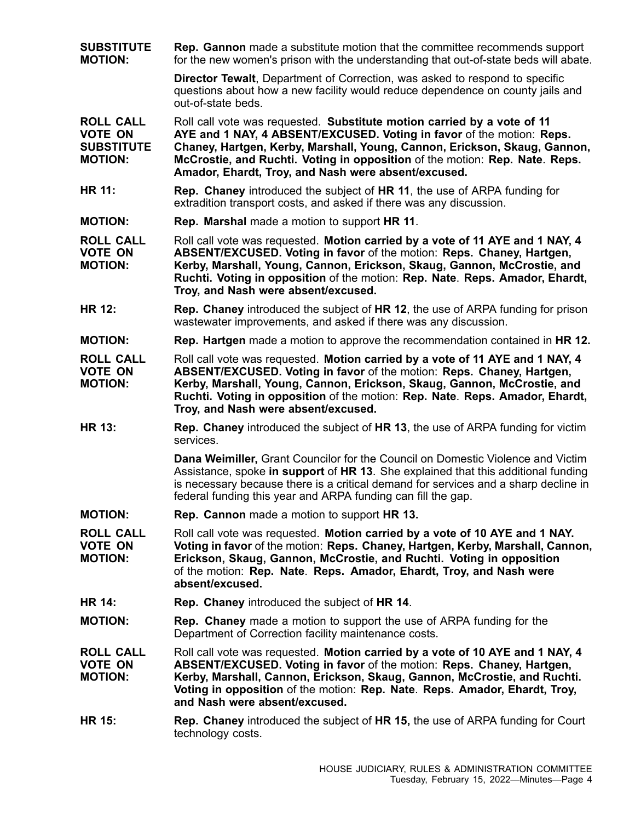**SUBSTITUTE MOTION: Rep. Gannon** made <sup>a</sup> substitute motion that the committee recommends support for the new women's prison with the understanding that out-of-state beds will abate. **Director Tewalt**, Department of Correction, was asked to respond to specific questions about how <sup>a</sup> new facility would reduce dependence on county jails and out-of-state beds. **ROLL CALL VOTE ON SUBSTITUTE MOTION:** Roll call vote was requested. **Substitute motion carried by <sup>a</sup> vote of 11 AYE and 1 NAY, 4 ABSENT/EXCUSED. Voting in favor** of the motion: **Reps. Chaney, Hartgen, Kerby, Marshall, Young, Cannon, Erickson, Skaug, Gannon, McCrostie, and Ruchti. Voting in opposition** of the motion: **Rep. Nate**. **Reps. Amador, Ehardt, Troy, and Nash were absent/excused. HR 11: Rep. Chaney** introduced the subject of **HR 11**, the use of ARPA funding for extradition transport costs, and asked if there was any discussion. **MOTION: Rep. Marshal** made <sup>a</sup> motion to support **HR 11**. **ROLL CALL VOTE ON MOTION:** Roll call vote was requested. **Motion carried by <sup>a</sup> vote of 11 AYE and 1 NAY, 4 ABSENT/EXCUSED. Voting in favor** of the motion: **Reps. Chaney, Hartgen, Kerby, Marshall, Young, Cannon, Erickson, Skaug, Gannon, McCrostie, and Ruchti. Voting in opposition** of the motion: **Rep. Nate**. **Reps. Amador, Ehardt, Troy, and Nash were absent/excused. HR 12: Rep. Chaney** introduced the subject of **HR 12**, the use of ARPA funding for prison wastewater improvements, and asked if there was any discussion. **MOTION: Rep. Hartgen** made <sup>a</sup> motion to approve the recommendation contained in **HR 12. ROLL CALL VOTE ON MOTION:** Roll call vote was requested. **Motion carried by <sup>a</sup> vote of 11 AYE and 1 NAY, 4 ABSENT/EXCUSED. Voting in favor** of the motion: **Reps. Chaney, Hartgen, Kerby, Marshall, Young, Cannon, Erickson, Skaug, Gannon, McCrostie, and Ruchti. Voting in opposition** of the motion: **Rep. Nate**. **Reps. Amador, Ehardt, Troy, and Nash were absent/excused. HR 13: Rep. Chaney** introduced the subject of **HR 13**, the use of ARPA funding for victim services. **Dana Weimiller,** Grant Councilor for the Council on Domestic Violence and Victim Assistance, spoke **in support** of **HR 13**. She explained that this additional funding is necessary because there is <sup>a</sup> critical demand for services and <sup>a</sup> sharp decline in federal funding this year and ARPA funding can fill the gap. **MOTION: Rep. Cannon** made <sup>a</sup> motion to support **HR 13. ROLL CALL VOTE ON MOTION:** Roll call vote was requested. **Motion carried by <sup>a</sup> vote of 10 AYE and 1 NAY. Voting in favor** of the motion: **Reps. Chaney, Hartgen, Kerby, Marshall, Cannon, Erickson, Skaug, Gannon, McCrostie, and Ruchti. Voting in opposition** of the motion: **Rep. Nate**. **Reps. Amador, Ehardt, Troy, and Nash were absent/excused. HR 14: Rep. Chaney** introduced the subject of **HR 14**. **MOTION: Rep. Chaney** made <sup>a</sup> motion to support the use of ARPA funding for the Department of Correction facility maintenance costs. **ROLL CALL VOTE ON MOTION:** Roll call vote was requested. **Motion carried by <sup>a</sup> vote of 10 AYE and 1 NAY, 4 ABSENT/EXCUSED. Voting in favor** of the motion: **Reps. Chaney, Hartgen, Kerby, Marshall, Cannon, Erickson, Skaug, Gannon, McCrostie, and Ruchti. Voting in opposition** of the motion: **Rep. Nate**. **Reps. Amador, Ehardt, Troy, and Nash were absent/excused. HR 15: Rep. Chaney** introduced the subject of **HR 15,** the use of ARPA funding for Court technology costs.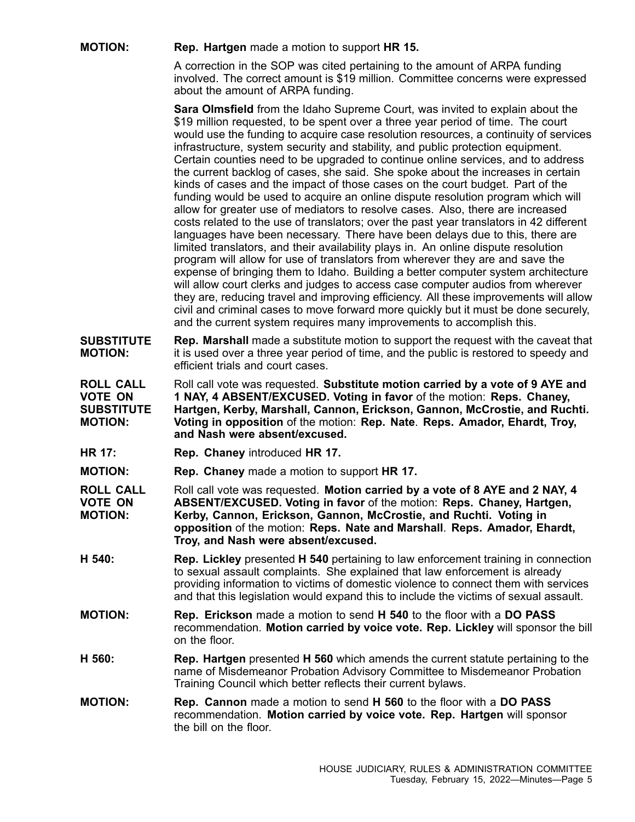**MOTION: Rep. Hartgen** made <sup>a</sup> motion to support **HR 15.**

A correction in the SOP was cited pertaining to the amount of ARPA funding involved. The correct amount is \$19 million. Committee concerns were expressed about the amount of ARPA funding.

**Sara Olmsfield** from the Idaho Supreme Court, was invited to explain about the \$19 million requested, to be spent over <sup>a</sup> three year period of time. The court would use the funding to acquire case resolution resources, <sup>a</sup> continuity of services infrastructure, system security and stability, and public protection equipment. Certain counties need to be upgraded to continue online services, and to address the current backlog of cases, she said. She spoke about the increases in certain kinds of cases and the impact of those cases on the court budget. Part of the funding would be used to acquire an online dispute resolution program which will allow for greater use of mediators to resolve cases. Also, there are increased costs related to the use of translators; over the past year translators in 42 different languages have been necessary. There have been delays due to this, there are limited translators, and their availability plays in. An online dispute resolution program will allow for use of translators from wherever they are and save the expense of bringing them to Idaho. Building <sup>a</sup> better computer system architecture will allow court clerks and judges to access case computer audios from wherever they are, reducing travel and improving efficiency. All these improvements will allow civil and criminal cases to move forward more quickly but it must be done securely, and the current system requires many improvements to accomplish this.

**SUBSTITUTE MOTION: Rep. Marshall** made <sup>a</sup> substitute motion to support the request with the caveat that it is used over <sup>a</sup> three year period of time, and the public is restored to speedy and efficient trials and court cases.

**ROLL CALL VOTE ON SUBSTITUTE MOTION:** Roll call vote was requested. **Substitute motion carried by <sup>a</sup> vote of 9 AYE and 1 NAY, 4 ABSENT/EXCUSED. Voting in favor** of the motion: **Reps. Chaney, Hartgen, Kerby, Marshall, Cannon, Erickson, Gannon, McCrostie, and Ruchti. Voting in opposition** of the motion: **Rep. Nate**. **Reps. Amador, Ehardt, Troy, and Nash were absent/excused.**

**HR 17: Rep. Chaney** introduced **HR 17.**

**MOTION: Rep. Chaney** made <sup>a</sup> motion to support **HR 17.**

- **ROLL CALL VOTE ON MOTION:** Roll call vote was requested. **Motion carried by <sup>a</sup> vote of 8 AYE and 2 NAY, 4 ABSENT/EXCUSED. Voting in favor** of the motion: **Reps. Chaney, Hartgen, Kerby, Cannon, Erickson, Gannon, McCrostie, and Ruchti. Voting in opposition** of the motion: **Reps. Nate and Marshall**. **Reps. Amador, Ehardt, Troy, and Nash were absent/excused.**
- **H 540: Rep. Lickley** presented **H 540** pertaining to law enforcement training in connection to sexual assault complaints. She explained that law enforcement is already providing information to victims of domestic violence to connect them with services and that this legislation would expand this to include the victims of sexual assault.
- **MOTION: Rep. Erickson** made <sup>a</sup> motion to send **H 540** to the floor with <sup>a</sup> **DO PASS** recommendation. **Motion carried by voice vote. Rep. Lickley** will sponsor the bill on the floor.
- **H 560: Rep. Hartgen** presented **H 560** which amends the current statute pertaining to the name of Misdemeanor Probation Advisory Committee to Misdemeanor Probation Training Council which better reflects their current bylaws.
- **MOTION: Rep. Cannon** made <sup>a</sup> motion to send **H 560** to the floor with <sup>a</sup> **DO PASS** recommendation. **Motion carried by voice vote. Rep. Hartgen** will sponsor the bill on the floor.